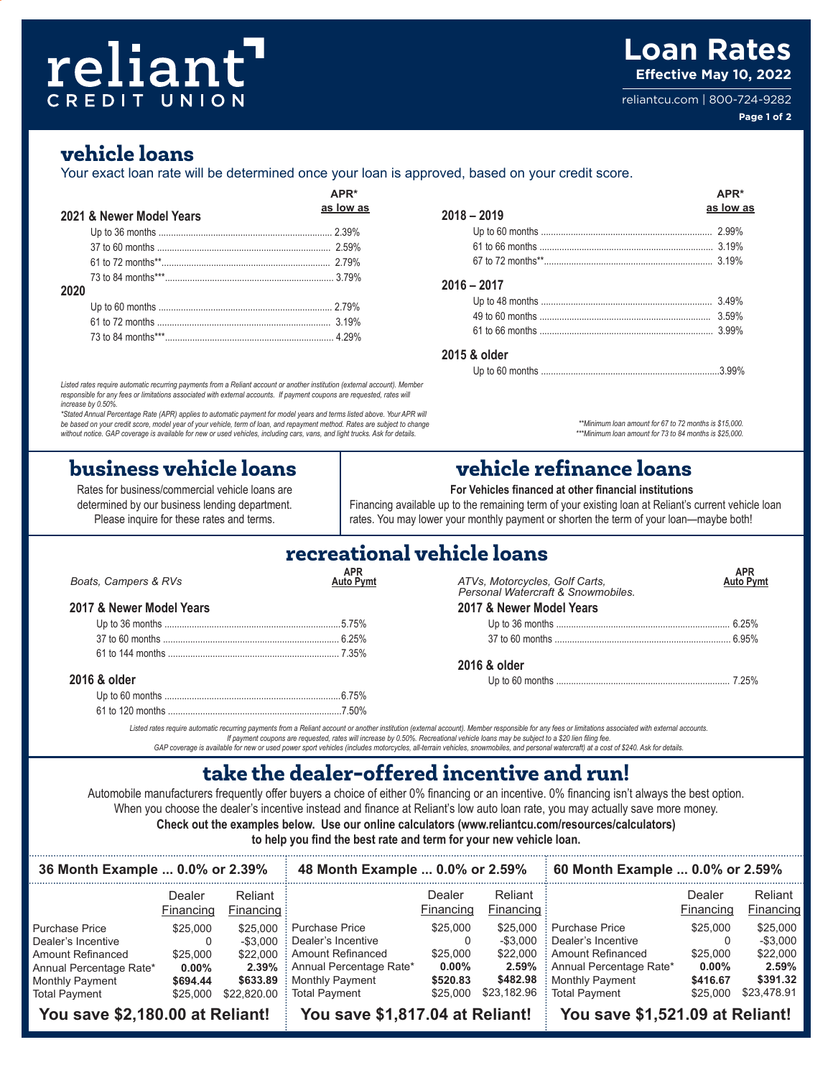## reliant CREDIT UNION

## **Loan Rates Effective May 10, 2022**

reliantcu.com | 800-724-9282 **Page 1 of 2**

### **vehicle loans**

Your exact loan rate will be determined once your loan is approved, based on your credit score.

|      |                          |           |               | APR*      |
|------|--------------------------|-----------|---------------|-----------|
|      | 2021 & Newer Model Years | as low as | $2018 - 2019$ | as low as |
|      |                          |           |               |           |
|      |                          |           |               |           |
|      |                          |           |               |           |
| 2020 |                          |           | $2016 - 2017$ |           |
|      |                          |           |               |           |
|      |                          |           |               |           |
|      |                          |           |               |           |

*Listed rates require automatic recurring payments from a Reliant account or another institution (external account). Member responsible for any fees or limitations associated with external accounts. If payment coupons are requested, rates will increase by 0.50%.* 

\*Stated Annual Percentage Rate (APR) applies to automatic payment for model years and terms listed above. Your APR will<br>be based on your credit score, model year of your vehicle, term of loan, and repayment method. Rates a *without notice. GAP coverage is available for new or used vehicles, including cars, vans, and light trucks. Ask for details.*

## **business vehicle loans vehicle refinance loans**

Rates for business/commercial vehicle loans are determined by our business lending department. Please inquire for these rates and terms.

### **2018 – 2019** Up to 60 months ..................................................................... 2.99% 61 to 66 months ...................................................................... 3.19% 67 to 72 months\*\*.................................................................... 3.19% **2016 – 2017** Up to 48 months ..................................................................... 3.49% 49 to 60 months ..................................................................... 3.59% 61 to 66 months ...................................................................... 3.99% **2015 & older** Up to 60 months ........................................................................3.99%

*\*\*Minimum loan amount for 67 to 72 months is \$15,000.*

*\*\*\*Minimum loan amount for 73 to 84 months is \$25,000.* 

**For Vehicles financed at other financial institutions**

Financing available up to the remaining term of your existing loan at Reliant's current vehicle loan rates. You may lower your monthly payment or shorten the term of your loan—maybe both!

| recreational vehicle loans |  |
|----------------------------|--|
|                            |  |

| Boats, Campers & RVs     | APR | ATVs, Motorcycles, Golf Carts,<br>Personal Watercraft & Snowmobiles. | <b>APR</b> |
|--------------------------|-----|----------------------------------------------------------------------|------------|
| 2017 & Newer Model Years |     | 2017 & Newer Model Years                                             |            |
|                          |     |                                                                      |            |
|                          |     |                                                                      |            |
|                          |     |                                                                      |            |
|                          |     | 2016 & older                                                         |            |
| 2016 & older             |     |                                                                      |            |
|                          |     |                                                                      |            |
|                          |     |                                                                      |            |

Listed rates require automatic recurring payments from a Reliant account or another institution (external account). Member responsible for any fees or limitations associated with external accounts.<br>If payment coupons are r *GAP coverage is available for new or used power sport vehicles (includes motorcycles, all-terrain vehicles, snowmobiles, and personal watercraft) at a cost of \$240. Ask for details.*

## **take the dealer-offered incentive and run!**

Automobile manufacturers frequently offer buyers a choice of either 0% financing or an incentive. 0% financing isn't always the best option. When you choose the dealer's incentive instead and finance at Reliant's low auto loan rate, you may actually save more money. **Check out the examples below. Use our online calculators (www.reliantcu.com/resources/calculators)** 

**to help you find the best rate and term for your new vehicle loan.** 

| 36 Month Example  0.0% or 2.39% |                     |                        | 48 Month Example  0.0% or 2.59% |                     |                        | 60 Month Example  0.0% or 2.59% |                     |                      |
|---------------------------------|---------------------|------------------------|---------------------------------|---------------------|------------------------|---------------------------------|---------------------|----------------------|
|                                 | Dealer<br>Financing | Reliant<br>Financing : |                                 | Dealer<br>Financing | Reliant<br>Financing : |                                 | Dealer<br>Financing | Reliant<br>Financing |
| <b>Purchase Price</b>           | \$25,000            | \$25,000               | : Purchase Price                | \$25,000            | \$25,000               | : Purchase Price                | \$25,000            | \$25,000             |
| Dealer's Incentive              | O                   | $-$ \$3.000            | Dealer's Incentive              |                     | -\$3.000               | Dealer's Incentive              |                     | $-$ \$3,000          |
| <b>Amount Refinanced</b>        | \$25,000            | \$22,000               | Amount Refinanced               | \$25,000            | \$22,000               | : Amount Refinanced             | \$25,000            | \$22,000             |
| Annual Percentage Rate*         | $0.00\%$            |                        | 2.39% : Annual Percentage Rate* | $0.00\%$            |                        | 2.59% : Annual Percentage Rate* | $0.00\%$            | 2.59%                |
| Monthly Payment                 | \$694.44            | \$633.89               | Monthly Payment                 | \$520.83            | \$482.98               | Monthly Payment                 | \$416.67            | \$391.32             |
| <b>Total Payment</b>            | \$25,000            | \$22,820,00            | : Total Pavment                 | \$25,000            |                        | \$23.182.96 : Total Payment     | \$25,000            | \$23.478.91          |
| You save \$2,180.00 at Reliant! |                     |                        | You save \$1,817.04 at Reliant! |                     |                        | You save \$1,521.09 at Reliant! |                     |                      |